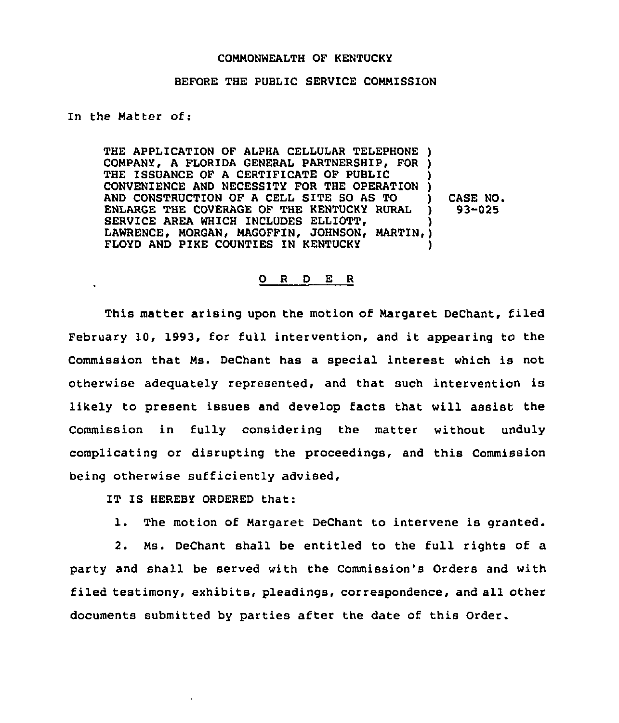## COMMONWEALTH OF KENTUCKY

## BEFORE THE PUBLIC SERVICE COMMISSION

## In the Matter of:

 $\ddot{\phantom{a}}$ 

THE APPLICATION OF ALPHA CELLULAR TELEPHONE ) COMPANY, A FLORIDA GENERAL PARTNERSHIP, FOR ) THE ISSUANCE OF A CERTIFICATE OF PUBLIC CONVENIENCE AND NECESSITY FOR THE OPERATION ) AND CONSTRUCTION OF <sup>A</sup> CELL SITE SO AS TO ) ENLARGE THE COVERAGE OF THE KENTUCKY RURAL SERVICE AREA WHICH INCLUDES ELLIOTT, LAWRENCE, MORGAN, MAGOFFIN, JOHNSON, MARTIN, ) FLOYD AND PIKE COUNTIES IN KENTUCKY CASE NO. 93-025

## 0 <sup>R</sup> <sup>D</sup> E <sup>R</sup>

This matter arising upon the motion of Margaret DeChant, filed February 10, 1993, for full intervention, and it appearing to the Commission that Ms. DeChant has a special interest which is not otherwise adequately represented, and that such intervention is likely to present issues and develop facts that will assist the Commission in fully considering the matter without unduly complicating or disrupting the proceedings, and this Commission being otherwise sufficiently advised,

IT IS HEREBY ORDERED that:

1. The motion of Margaret DeChant to intervene is granted.

2. Ms. DeChant shall be entitled to the full rights of a party and shall be served with the Commission's Orders and with filed testimony, exhibits, pleadings, correspondence, and all other documents submitted by parties after the date of this Order.